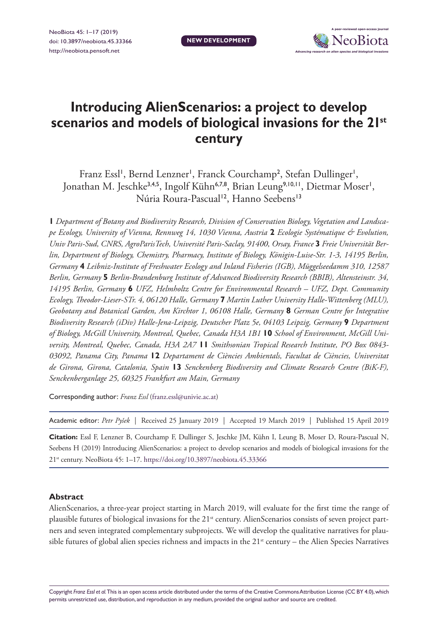

# **Introducing AlienScenarios: a project to develop scenarios and models of biological invasions for the 21st century**

Franz Essl<sup>1</sup>, Bernd Lenzner<sup>1</sup>, Franck Courchamp<sup>2</sup>, Stefan Dullinger<sup>1</sup>, Jonathan M. Jeschke<sup>3,4,5</sup>, Ingolf Kühn<sup>6,7,8</sup>, Brian Leung<sup>9,10,11</sup>, Dietmar Moser<sup>1</sup>, Núria Roura-Pascual<sup>12</sup>, Hanno Seebens<sup>13</sup>

**1** *Department of Botany and Biodiversity Research, Division of Conservation Biology, Vegetation and Landscape Ecology, University of Vienna, Rennweg 14, 1030 Vienna, Austria* **2** *Ecologie Systématique & Evolution, Univ Paris-Sud, CNRS, AgroParisTech, Université Paris-Saclay, 91400, Orsay, France* **3** *Freie Universität Berlin, Department of Biology, Chemistry, Pharmacy, Institute of Biology, Königin-Luise-Str. 1-3, 14195 Berlin, Germany* **4** *Leibniz-Institute of Freshwater Ecology and Inland Fisheries (IGB), Müggelseedamm 310, 12587 Berlin, Germany* **5** *Berlin-Brandenburg Institute of Advanced Biodiversity Research (BBIB), Altensteinstr. 34, 14195 Berlin, Germany* **6** *UFZ, Helmholtz Centre for Environmental Research – UFZ, Dept. Community Ecology, Theodor-Lieser-STr. 4, 06120 Halle, Germany* **7** *Martin Luther University Halle-Wittenberg (MLU), Geobotany and Botanical Garden, Am Kirchtor 1, 06108 Halle, Germany* **8** *German Centre for Integrative Biodiversity Research (iDiv) Halle-Jena-Leipzig, Deutscher Platz 5e, 04103 Leipzig, Germany* **9** *Department of Biology, McGill University, Montreal, Quebec, Canada H3A 1B1* **10** *School of Environment, McGill University, Montreal, Quebec, Canada, H3A 2A7* **11** *Smithsonian Tropical Research Institute, PO Box 0843- 03092, Panama City, Panama* **12** *Departament de Ciències Ambientals, Facultat de Ciències, Universitat de Girona, Girona, Catalonia, Spain* **13** *Senckenberg Biodiversity and Climate Research Centre (BiK-F), Senckenberganlage 25, 60325 Frankfurt am Main, Germany*

Corresponding author: *Franz Essl* ([franz.essl@univie.ac.at\)](mailto:franz.essl@univie.ac.at)

Academic editor: *Petr Pyšek* | Received 25 January 2019 | Accepted 19 March 2019 | Published 15 April 2019

**Citation:** Essl F, Lenzner B, Courchamp F, Dullinger S, Jeschke JM, Kühn I, Leung B, Moser D, Roura-Pascual N, Seebens H (2019) Introducing AlienScenarios: a project to develop scenarios and models of biological invasions for the 21st century. NeoBiota 45: 1–17. <https://doi.org/10.3897/neobiota.45.33366>

#### **Abstract**

AlienScenarios, a three-year project starting in March 2019, will evaluate for the first time the range of plausible futures of biological invasions for the 21<sup>st</sup> century. AlienScenarios consists of seven project partners and seven integrated complementary subprojects. We will develop the qualitative narratives for plausible futures of global alien species richness and impacts in the 21<sup>st</sup> century – the Alien Species Narratives

Copyright *Franz Essl et al.* This is an open access article distributed under the terms of the [Creative Commons Attribution License \(CC BY 4.0\)](http://creativecommons.org/licenses/by/4.0/), which permits unrestricted use, distribution, and reproduction in any medium, provided the original author and source are credited.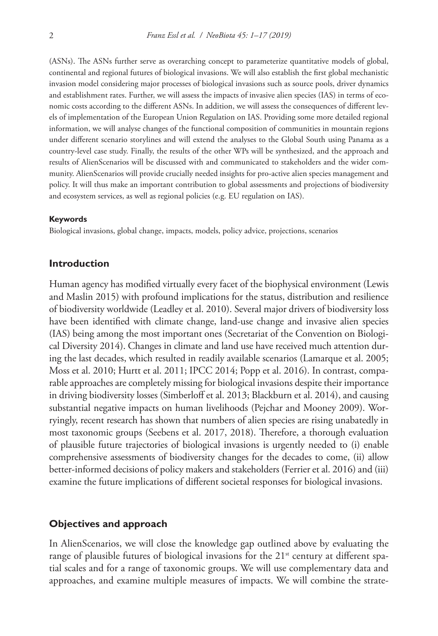(ASNs). The ASNs further serve as overarching concept to parameterize quantitative models of global, continental and regional futures of biological invasions. We will also establish the first global mechanistic invasion model considering major processes of biological invasions such as source pools, driver dynamics and establishment rates. Further, we will assess the impacts of invasive alien species (IAS) in terms of economic costs according to the different ASNs. In addition, we will assess the consequences of different levels of implementation of the European Union Regulation on IAS. Providing some more detailed regional information, we will analyse changes of the functional composition of communities in mountain regions under different scenario storylines and will extend the analyses to the Global South using Panama as a country-level case study. Finally, the results of the other WPs will be synthesized, and the approach and results of AlienScenarios will be discussed with and communicated to stakeholders and the wider community. AlienScenarios will provide crucially needed insights for pro-active alien species management and policy. It will thus make an important contribution to global assessments and projections of biodiversity and ecosystem services, as well as regional policies (e.g. EU regulation on IAS).

#### **Keywords**

Biological invasions, global change, impacts, models, policy advice, projections, scenarios

#### **Introduction**

Human agency has modified virtually every facet of the biophysical environment (Lewis and Maslin 2015) with profound implications for the status, distribution and resilience of biodiversity worldwide (Leadley et al. 2010). Several major drivers of biodiversity loss have been identified with climate change, land-use change and invasive alien species (IAS) being among the most important ones (Secretariat of the Convention on Biological Diversity 2014). Changes in climate and land use have received much attention during the last decades, which resulted in readily available scenarios (Lamarque et al. 2005; Moss et al. 2010; Hurtt et al. 2011; IPCC 2014; Popp et al. 2016). In contrast, comparable approaches are completely missing for biological invasions despite their importance in driving biodiversity losses (Simberloff et al. 2013; Blackburn et al. 2014), and causing substantial negative impacts on human livelihoods (Pejchar and Mooney 2009). Worryingly, recent research has shown that numbers of alien species are rising unabatedly in most taxonomic groups (Seebens et al. 2017, 2018). Therefore, a thorough evaluation of plausible future trajectories of biological invasions is urgently needed to (i) enable comprehensive assessments of biodiversity changes for the decades to come, (ii) allow better-informed decisions of policy makers and stakeholders (Ferrier et al. 2016) and (iii) examine the future implications of different societal responses for biological invasions.

#### **Objectives and approach**

In AlienScenarios, we will close the knowledge gap outlined above by evaluating the range of plausible futures of biological invasions for the  $21<sup>st</sup>$  century at different spatial scales and for a range of taxonomic groups. We will use complementary data and approaches, and examine multiple measures of impacts. We will combine the strate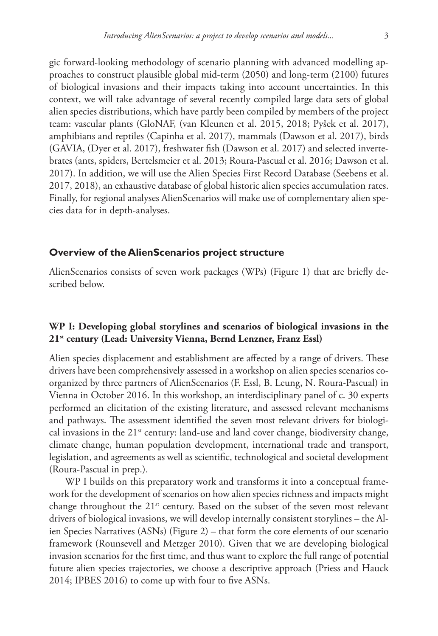gic forward-looking methodology of scenario planning with advanced modelling approaches to construct plausible global mid-term (2050) and long-term (2100) futures of biological invasions and their impacts taking into account uncertainties. In this context, we will take advantage of several recently compiled large data sets of global alien species distributions, which have partly been compiled by members of the project team: vascular plants (GloNAF, (van Kleunen et al. 2015, 2018; Pyšek et al. 2017), amphibians and reptiles (Capinha et al. 2017), mammals (Dawson et al. 2017), birds (GAVIA, (Dyer et al. 2017), freshwater fish (Dawson et al. 2017) and selected invertebrates (ants, spiders, Bertelsmeier et al. 2013; Roura-Pascual et al. 2016; Dawson et al. 2017). In addition, we will use the Alien Species First Record Database (Seebens et al. 2017, 2018), an exhaustive database of global historic alien species accumulation rates. Finally, for regional analyses AlienScenarios will make use of complementary alien species data for in depth-analyses.

#### **Overview of the AlienScenarios project structure**

AlienScenarios consists of seven work packages (WPs) (Figure 1) that are briefly described below.

# **WP I: Developing global storylines and scenarios of biological invasions in the 21st century (Lead: University Vienna, Bernd Lenzner, Franz Essl)**

Alien species displacement and establishment are affected by a range of drivers. These drivers have been comprehensively assessed in a workshop on alien species scenarios coorganized by three partners of AlienScenarios (F. Essl, B. Leung, N. Roura-Pascual) in Vienna in October 2016. In this workshop, an interdisciplinary panel of c. 30 experts performed an elicitation of the existing literature, and assessed relevant mechanisms and pathways. The assessment identified the seven most relevant drivers for biological invasions in the  $21<sup>st</sup>$  century: land-use and land cover change, biodiversity change, climate change, human population development, international trade and transport, legislation, and agreements as well as scientific, technological and societal development (Roura-Pascual in prep.).

WP I builds on this preparatory work and transforms it into a conceptual framework for the development of scenarios on how alien species richness and impacts might change throughout the  $21^{st}$  century. Based on the subset of the seven most relevant drivers of biological invasions, we will develop internally consistent storylines – the Alien Species Narratives (ASNs) (Figure 2) – that form the core elements of our scenario framework (Rounsevell and Metzger 2010). Given that we are developing biological invasion scenarios for the first time, and thus want to explore the full range of potential future alien species trajectories, we choose a descriptive approach (Priess and Hauck 2014; IPBES 2016) to come up with four to five ASNs.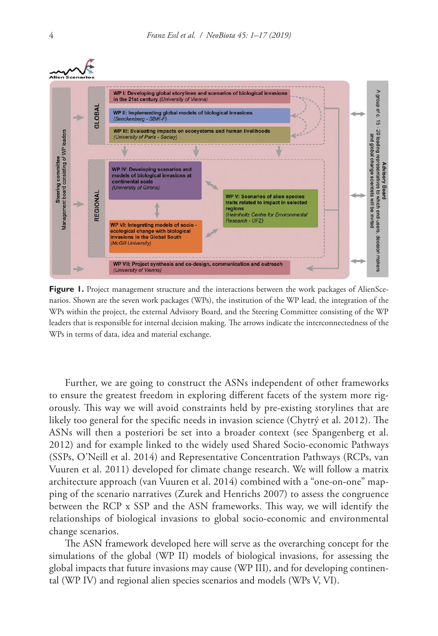# Alien Scena



Figure 1. Project management structure and the interactions between the work packages of AlienScenarios. Shown are the seven work packages (WPs), the institution of the WP lead, the integration of the WPs within the project, the external Advisory Board, and the Steering Committee consisting of the WP leaders that is responsible for internal decision making. The arrows indicate the interconnectedness of the WPs in terms of data, idea and material exchange.

Further, we are going to construct the ASNs independent of other frameworks to ensure the greatest freedom in exploring different facets of the system more rigorously. This way we will avoid constraints held by pre-existing storylines that are likely too general for the specific needs in invasion science (Chytrý et al. 2012). The ASNs will then a posteriori be set into a broader context (see Spangenberg et al. 2012) and for example linked to the widely used Shared Socio-economic Pathways (SSPs, O'Neill et al. 2014) and Representative Concentration Pathways (RCPs, van Vuuren et al. 2011) developed for climate change research. We will follow a matrix architecture approach (van Vuuren et al. 2014) combined with a "one-on-one" mapping of the scenario narratives (Zurek and Henrichs 2007) to assess the congruence between the RCP x SSP and the ASN frameworks. This way, we will identify the relationships of biological invasions to global socio-economic and environmental change scenarios.

The ASN framework developed here will serve as the overarching concept for the simulations of the global (WP II) models of biological invasions, for assessing the global impacts that future invasions may cause (WP III), and for developing continental (WP IV) and regional alien species scenarios and models (WPs V, VI).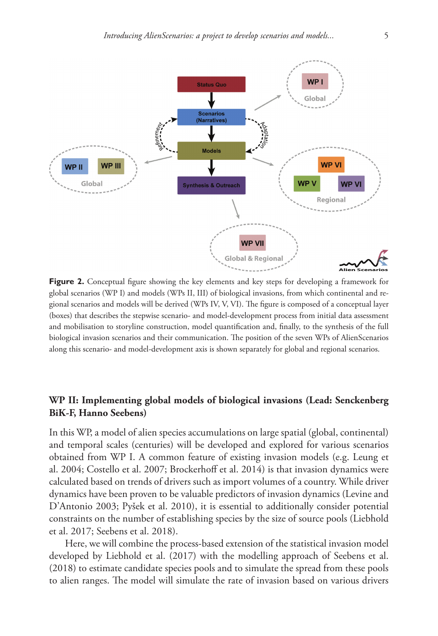

**Figure 2.** Conceptual figure showing the key elements and key steps for developing a framework for global scenarios (WP I) and models (WPs II, III) of biological invasions, from which continental and regional scenarios and models will be derived (WPs IV, V, VI). The figure is composed of a conceptual layer (boxes) that describes the stepwise scenario- and model-development process from initial data assessment and mobilisation to storyline construction, model quantification and, finally, to the synthesis of the full biological invasion scenarios and their communication. The position of the seven WPs of AlienScenarios along this scenario- and model-development axis is shown separately for global and regional scenarios.

# **WP II: Implementing global models of biological invasions (Lead: Senckenberg BiK-F, Hanno Seebens)**

In this WP, a model of alien species accumulations on large spatial (global, continental) and temporal scales (centuries) will be developed and explored for various scenarios obtained from WP I. A common feature of existing invasion models (e.g. Leung et al. 2004; Costello et al. 2007; Brockerhoff et al. 2014) is that invasion dynamics were calculated based on trends of drivers such as import volumes of a country. While driver dynamics have been proven to be valuable predictors of invasion dynamics (Levine and D'Antonio 2003; Pyšek et al. 2010), it is essential to additionally consider potential constraints on the number of establishing species by the size of source pools (Liebhold et al. 2017; Seebens et al. 2018).

Here, we will combine the process-based extension of the statistical invasion model developed by Liebhold et al. (2017) with the modelling approach of Seebens et al. (2018) to estimate candidate species pools and to simulate the spread from these pools to alien ranges. The model will simulate the rate of invasion based on various drivers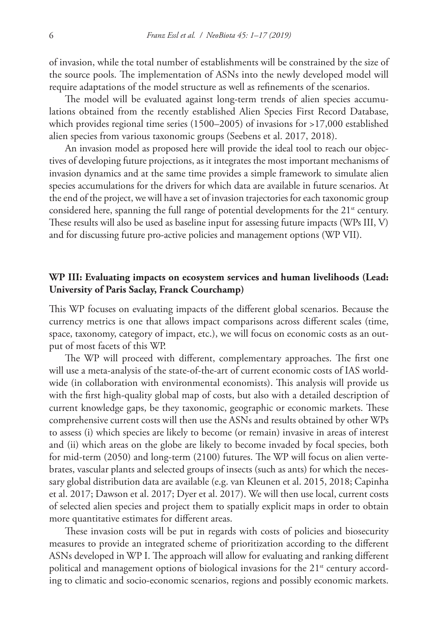of invasion, while the total number of establishments will be constrained by the size of the source pools. The implementation of ASNs into the newly developed model will require adaptations of the model structure as well as refinements of the scenarios.

The model will be evaluated against long-term trends of alien species accumulations obtained from the recently established Alien Species First Record Database, which provides regional time series (1500–2005) of invasions for >17,000 established alien species from various taxonomic groups (Seebens et al. 2017, 2018).

An invasion model as proposed here will provide the ideal tool to reach our objectives of developing future projections, as it integrates the most important mechanisms of invasion dynamics and at the same time provides a simple framework to simulate alien species accumulations for the drivers for which data are available in future scenarios. At the end of the project, we will have a set of invasion trajectories for each taxonomic group considered here, spanning the full range of potential developments for the  $21<sup>st</sup>$  century. These results will also be used as baseline input for assessing future impacts (WPs III, V) and for discussing future pro-active policies and management options (WP VII).

#### **WP III: Evaluating impacts on ecosystem services and human livelihoods (Lead: University of Paris Saclay, Franck Courchamp)**

This WP focuses on evaluating impacts of the different global scenarios. Because the currency metrics is one that allows impact comparisons across different scales (time, space, taxonomy, category of impact, etc.), we will focus on economic costs as an output of most facets of this WP.

The WP will proceed with different, complementary approaches. The first one will use a meta-analysis of the state-of-the-art of current economic costs of IAS worldwide (in collaboration with environmental economists). This analysis will provide us with the first high-quality global map of costs, but also with a detailed description of current knowledge gaps, be they taxonomic, geographic or economic markets. These comprehensive current costs will then use the ASNs and results obtained by other WPs to assess (i) which species are likely to become (or remain) invasive in areas of interest and (ii) which areas on the globe are likely to become invaded by focal species, both for mid-term (2050) and long-term (2100) futures. The WP will focus on alien vertebrates, vascular plants and selected groups of insects (such as ants) for which the necessary global distribution data are available (e.g. van Kleunen et al. 2015, 2018; Capinha et al. 2017; Dawson et al. 2017; Dyer et al. 2017). We will then use local, current costs of selected alien species and project them to spatially explicit maps in order to obtain more quantitative estimates for different areas.

These invasion costs will be put in regards with costs of policies and biosecurity measures to provide an integrated scheme of prioritization according to the different ASNs developed in WP I. The approach will allow for evaluating and ranking different political and management options of biological invasions for the 21<sup>st</sup> century according to climatic and socio-economic scenarios, regions and possibly economic markets.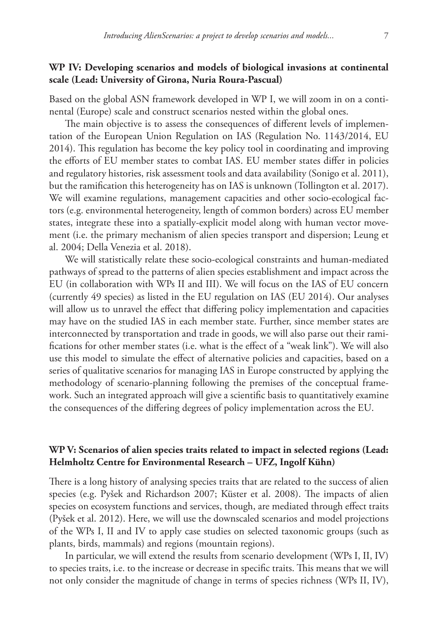# **WP IV: Developing scenarios and models of biological invasions at continental scale (Lead: University of Girona, Nuria Roura-Pascual)**

Based on the global ASN framework developed in WP I, we will zoom in on a continental (Europe) scale and construct scenarios nested within the global ones.

The main objective is to assess the consequences of different levels of implementation of the European Union Regulation on IAS (Regulation No. 1143/2014, EU 2014). This regulation has become the key policy tool in coordinating and improving the efforts of EU member states to combat IAS. EU member states differ in policies and regulatory histories, risk assessment tools and data availability (Sonigo et al. 2011), but the ramification this heterogeneity has on IAS is unknown (Tollington et al. 2017). We will examine regulations, management capacities and other socio-ecological factors (e.g. environmental heterogeneity, length of common borders) across EU member states, integrate these into a spatially-explicit model along with human vector movement (i.e. the primary mechanism of alien species transport and dispersion; Leung et al. 2004; Della Venezia et al. 2018).

We will statistically relate these socio-ecological constraints and human-mediated pathways of spread to the patterns of alien species establishment and impact across the EU (in collaboration with WPs II and III). We will focus on the IAS of EU concern (currently 49 species) as listed in the EU regulation on IAS (EU 2014). Our analyses will allow us to unravel the effect that differing policy implementation and capacities may have on the studied IAS in each member state. Further, since member states are interconnected by transportation and trade in goods, we will also parse out their ramifications for other member states (i.e. what is the effect of a "weak link"). We will also use this model to simulate the effect of alternative policies and capacities, based on a series of qualitative scenarios for managing IAS in Europe constructed by applying the methodology of scenario-planning following the premises of the conceptual framework. Such an integrated approach will give a scientific basis to quantitatively examine the consequences of the differing degrees of policy implementation across the EU.

# **WP V: Scenarios of alien species traits related to impact in selected regions (Lead: Helmholtz Centre for Environmental Research – UFZ, Ingolf Kühn)**

There is a long history of analysing species traits that are related to the success of alien species (e.g. Pyšek and Richardson 2007; Küster et al. 2008). The impacts of alien species on ecosystem functions and services, though, are mediated through effect traits (Pyšek et al. 2012). Here, we will use the downscaled scenarios and model projections of the WPs I, II and IV to apply case studies on selected taxonomic groups (such as plants, birds, mammals) and regions (mountain regions).

In particular, we will extend the results from scenario development (WPs I, II, IV) to species traits, i.e. to the increase or decrease in specific traits. This means that we will not only consider the magnitude of change in terms of species richness (WPs II, IV),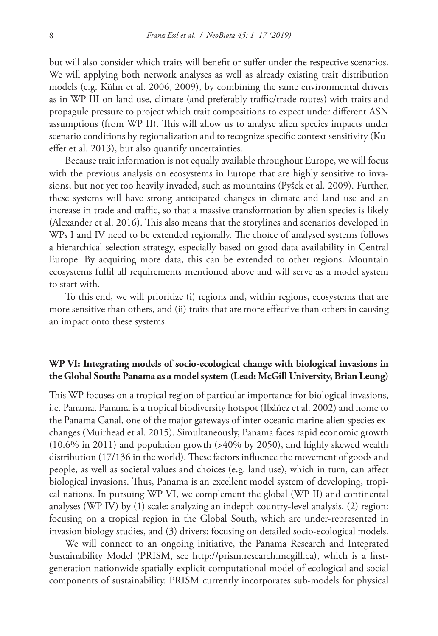but will also consider which traits will benefit or suffer under the respective scenarios. We will applying both network analyses as well as already existing trait distribution models (e.g. Kühn et al. 2006, 2009), by combining the same environmental drivers as in WP III on land use, climate (and preferably traffic/trade routes) with traits and propagule pressure to project which trait compositions to expect under different ASN assumptions (from WP II). This will allow us to analyse alien species impacts under scenario conditions by regionalization and to recognize specific context sensitivity (Kueffer et al. 2013), but also quantify uncertainties.

Because trait information is not equally available throughout Europe, we will focus with the previous analysis on ecosystems in Europe that are highly sensitive to invasions, but not yet too heavily invaded, such as mountains (Pyšek et al. 2009). Further, these systems will have strong anticipated changes in climate and land use and an increase in trade and traffic, so that a massive transformation by alien species is likely (Alexander et al. 2016). This also means that the storylines and scenarios developed in WPs I and IV need to be extended regionally. The choice of analysed systems follows a hierarchical selection strategy, especially based on good data availability in Central Europe. By acquiring more data, this can be extended to other regions. Mountain ecosystems fulfil all requirements mentioned above and will serve as a model system to start with.

To this end, we will prioritize (i) regions and, within regions, ecosystems that are more sensitive than others, and (ii) traits that are more effective than others in causing an impact onto these systems.

# **WP VI: Integrating models of socio-ecological change with biological invasions in the Global South: Panama as a model system (Lead: McGill University, Brian Leung)**

This WP focuses on a tropical region of particular importance for biological invasions, i.e. Panama. Panama is a tropical biodiversity hotspot (Ibáñez et al. 2002) and home to the Panama Canal, one of the major gateways of inter-oceanic marine alien species exchanges (Muirhead et al. 2015). Simultaneously, Panama faces rapid economic growth (10.6% in 2011) and population growth (>40% by 2050), and highly skewed wealth distribution (17/136 in the world). These factors influence the movement of goods and people, as well as societal values and choices (e.g. land use), which in turn, can affect biological invasions. Thus, Panama is an excellent model system of developing, tropical nations. In pursuing WP VI, we complement the global (WP II) and continental analyses (WP IV) by (1) scale: analyzing an indepth country-level analysis, (2) region: focusing on a tropical region in the Global South, which are under-represented in invasion biology studies, and (3) drivers: focusing on detailed socio-ecological models.

We will connect to an ongoing initiative, the Panama Research and Integrated Sustainability Model (PRISM, see <http://prism.research.mcgill.ca>), which is a firstgeneration nationwide spatially-explicit computational model of ecological and social components of sustainability. PRISM currently incorporates sub-models for physical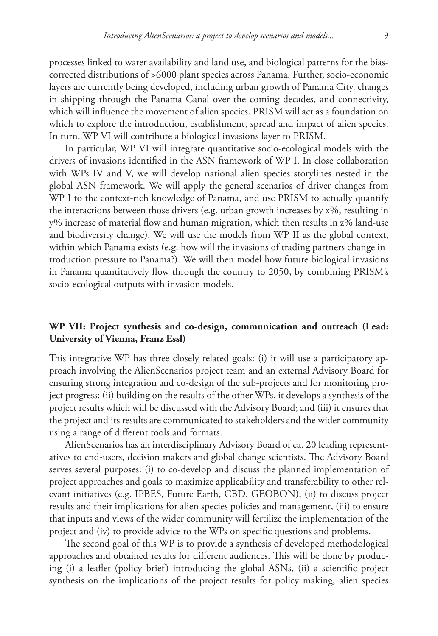processes linked to water availability and land use, and biological patterns for the biascorrected distributions of >6000 plant species across Panama. Further, socio-economic layers are currently being developed, including urban growth of Panama City, changes in shipping through the Panama Canal over the coming decades, and connectivity, which will influence the movement of alien species. PRISM will act as a foundation on which to explore the introduction, establishment, spread and impact of alien species. In turn, WP VI will contribute a biological invasions layer to PRISM.

In particular, WP VI will integrate quantitative socio-ecological models with the drivers of invasions identified in the ASN framework of WP I. In close collaboration with WPs IV and V, we will develop national alien species storylines nested in the global ASN framework. We will apply the general scenarios of driver changes from WP I to the context-rich knowledge of Panama, and use PRISM to actually quantify the interactions between those drivers (e.g. urban growth increases by x%, resulting in y% increase of material flow and human migration, which then results in z% land-use and biodiversity change). We will use the models from WP II as the global context, within which Panama exists (e.g. how will the invasions of trading partners change introduction pressure to Panama?). We will then model how future biological invasions in Panama quantitatively flow through the country to 2050, by combining PRISM's socio-ecological outputs with invasion models.

#### **WP VII: Project synthesis and co-design, communication and outreach (Lead: University of Vienna, Franz Essl)**

This integrative WP has three closely related goals: (i) it will use a participatory approach involving the AlienScenarios project team and an external Advisory Board for ensuring strong integration and co-design of the sub-projects and for monitoring project progress; (ii) building on the results of the other WPs, it develops a synthesis of the project results which will be discussed with the Advisory Board; and (iii) it ensures that the project and its results are communicated to stakeholders and the wider community using a range of different tools and formats.

AlienScenarios has an interdisciplinary Advisory Board of ca. 20 leading representatives to end-users, decision makers and global change scientists. The Advisory Board serves several purposes: (i) to co-develop and discuss the planned implementation of project approaches and goals to maximize applicability and transferability to other relevant initiatives (e.g. IPBES, Future Earth, CBD, GEOBON), (ii) to discuss project results and their implications for alien species policies and management, (iii) to ensure that inputs and views of the wider community will fertilize the implementation of the project and (iv) to provide advice to the WPs on specific questions and problems.

The second goal of this WP is to provide a synthesis of developed methodological approaches and obtained results for different audiences. This will be done by producing (i) a leaflet (policy brief) introducing the global ASNs, (ii) a scientific project synthesis on the implications of the project results for policy making, alien species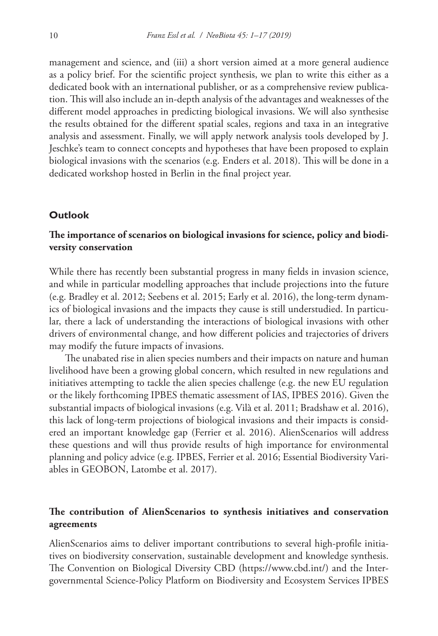management and science, and (iii) a short version aimed at a more general audience as a policy brief. For the scientific project synthesis, we plan to write this either as a dedicated book with an international publisher, or as a comprehensive review publication. This will also include an in-depth analysis of the advantages and weaknesses of the different model approaches in predicting biological invasions. We will also synthesise the results obtained for the different spatial scales, regions and taxa in an integrative analysis and assessment. Finally, we will apply network analysis tools developed by J. Jeschke's team to connect concepts and hypotheses that have been proposed to explain biological invasions with the scenarios (e.g. Enders et al. 2018). This will be done in a dedicated workshop hosted in Berlin in the final project year.

#### **Outlook**

# **The importance of scenarios on biological invasions for science, policy and biodiversity conservation**

While there has recently been substantial progress in many fields in invasion science, and while in particular modelling approaches that include projections into the future (e.g. Bradley et al. 2012; Seebens et al. 2015; Early et al. 2016), the long-term dynamics of biological invasions and the impacts they cause is still understudied. In particular, there a lack of understanding the interactions of biological invasions with other drivers of environmental change, and how different policies and trajectories of drivers may modify the future impacts of invasions.

The unabated rise in alien species numbers and their impacts on nature and human livelihood have been a growing global concern, which resulted in new regulations and initiatives attempting to tackle the alien species challenge (e.g. the new EU regulation or the likely forthcoming IPBES thematic assessment of IAS, IPBES 2016). Given the substantial impacts of biological invasions (e.g. Vilà et al. 2011; Bradshaw et al. 2016), this lack of long-term projections of biological invasions and their impacts is considered an important knowledge gap (Ferrier et al. 2016). AlienScenarios will address these questions and will thus provide results of high importance for environmental planning and policy advice (e.g. IPBES, Ferrier et al. 2016; Essential Biodiversity Variables in GEOBON, Latombe et al. 2017).

# **The contribution of AlienScenarios to synthesis initiatives and conservation agreements**

AlienScenarios aims to deliver important contributions to several high-profile initiatives on biodiversity conservation, sustainable development and knowledge synthesis. The Convention on Biological Diversity CBD ([https://www.cbd.int/\)](https://www.cbd.int/) and the Intergovernmental Science-Policy Platform on Biodiversity and Ecosystem Services IPBES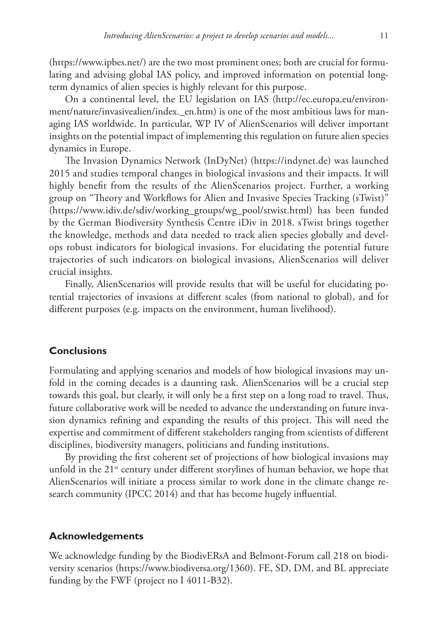([https://www.ipbes.net/\)](https://www.ipbes.net/) are the two most prominent ones; both are crucial for formulating and advising global IAS policy, and improved information on potential longterm dynamics of alien species is highly relevant for this purpose.

On a continental level, the EU legislation on IAS ([http://ec.europa.eu/environ](http://ec.europa.eu/environment/nature/invasivealien/index._en.htm)[ment/nature/invasivealien/index.\\_en.htm\)](http://ec.europa.eu/environment/nature/invasivealien/index._en.htm) is one of the most ambitious laws for managing IAS worldwide. In particular, WP IV of AlienScenarios will deliver important insights on the potential impact of implementing this regulation on future alien species dynamics in Europe.

The Invasion Dynamics Network (InDyNet) [\(https://indynet.de](https://indynet.de)) was launched 2015 and studies temporal changes in biological invasions and their impacts. It will highly benefit from the results of the AlienScenarios project. Further, a working group on "Theory and Workflows for Alien and Invasive Species Tracking (sTwist)" ([https://www.idiv.de/sdiv/working\\_groups/wg\\_pool/stwist.html](https://www.idiv.de/sdiv/working_groups/wg_pool/stwist.html)) has been funded by the German Biodiversity Synthesis Centre iDiv in 2018. sTwist brings together the knowledge, methods and data needed to track alien species globally and develops robust indicators for biological invasions. For elucidating the potential future trajectories of such indicators on biological invasions, AlienScenarios will deliver crucial insights.

Finally, AlienScenarios will provide results that will be useful for elucidating potential trajectories of invasions at different scales (from national to global), and for different purposes (e.g. impacts on the environment, human livelihood).

#### **Conclusions**

Formulating and applying scenarios and models of how biological invasions may unfold in the coming decades is a daunting task. AlienScenarios will be a crucial step towards this goal, but clearly, it will only be a first step on a long road to travel. Thus, future collaborative work will be needed to advance the understanding on future invasion dynamics refining and expanding the results of this project. This will need the expertise and commitment of different stakeholders ranging from scientists of different disciplines, biodiversity managers, politicians and funding institutions.

By providing the first coherent set of projections of how biological invasions may unfold in the  $21<sup>st</sup>$  century under different storylines of human behavior, we hope that AlienScenarios will initiate a process similar to work done in the climate change research community (IPCC 2014) and that has become hugely influential.

#### **Acknowledgements**

We acknowledge funding by the BiodivERsA and Belmont-Forum call 218 on biodiversity scenarios (<https://www.biodiversa.org/1360>). FE, SD, DM, and BL appreciate funding by the FWF (project no I 4011-B32).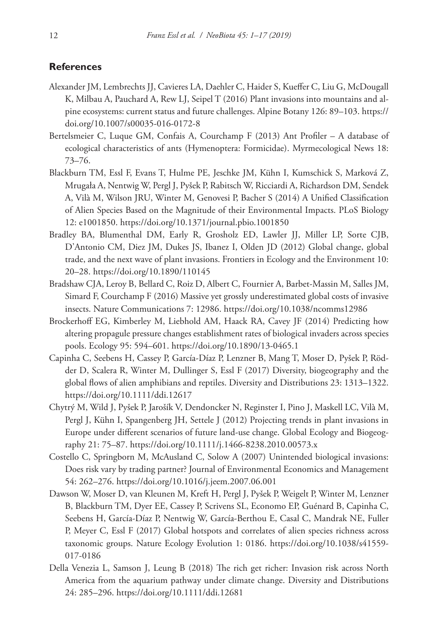#### **References**

- Alexander JM, Lembrechts JJ, Cavieres LA, Daehler C, Haider S, Kueffer C, Liu G, McDougall K, Milbau A, Pauchard A, Rew LJ, Seipel T (2016) Plant invasions into mountains and alpine ecosystems: current status and future challenges. Alpine Botany 126: 89–103. [https://](https://doi.org/10.1007/s00035-016-0172-8) [doi.org/10.1007/s00035-016-0172-8](https://doi.org/10.1007/s00035-016-0172-8)
- Bertelsmeier C, Luque GM, Confais A, Courchamp F (2013) Ant Profiler A database of ecological characteristics of ants (Hymenoptera: Formicidae). Myrmecological News 18: 73–76.
- Blackburn TM, Essl F, Evans T, Hulme PE, Jeschke JM, Kühn I, Kumschick S, Marková Z, Mrugała A, Nentwig W, Pergl J, Pyšek P, Rabitsch W, Ricciardi A, Richardson DM, Sendek A, Vilà M, Wilson JRU, Winter M, Genovesi P, Bacher S (2014) A Unified Classification of Alien Species Based on the Magnitude of their Environmental Impacts. PLoS Biology 12: e1001850.<https://doi.org/10.1371/journal.pbio.1001850>
- Bradley BA, Blumenthal DM, Early R, Grosholz ED, Lawler JJ, Miller LP, Sorte CJB, D'Antonio CM, Diez JM, Dukes JS, Ibanez I, Olden JD (2012) Global change, global trade, and the next wave of plant invasions. Frontiers in Ecology and the Environment 10: 20–28.<https://doi.org/10.1890/110145>
- Bradshaw CJA, Leroy B, Bellard C, Roiz D, Albert C, Fournier A, Barbet-Massin M, Salles JM, Simard F, Courchamp F (2016) Massive yet grossly underestimated global costs of invasive insects. Nature Communications 7: 12986.<https://doi.org/10.1038/ncomms12986>
- Brockerhoff EG, Kimberley M, Liebhold AM, Haack RA, Cavey JF (2014) Predicting how altering propagule pressure changes establishment rates of biological invaders across species pools. Ecology 95: 594–601.<https://doi.org/10.1890/13-0465.1>
- Capinha C, Seebens H, Cassey P, García-Díaz P, Lenzner B, Mang T, Moser D, Pyšek P, Rödder D, Scalera R, Winter M, Dullinger S, Essl F (2017) Diversity, biogeography and the global flows of alien amphibians and reptiles. Diversity and Distributions 23: 1313–1322. <https://doi.org/10.1111/ddi.12617>
- Chytrý M, Wild J, Pyšek P, Jarošík V, Dendoncker N, Reginster I, Pino J, Maskell LC, Vilà M, Pergl J, Kühn I, Spangenberg JH, Settele J (2012) Projecting trends in plant invasions in Europe under different scenarios of future land-use change. Global Ecology and Biogeography 21: 75–87. <https://doi.org/10.1111/j.1466-8238.2010.00573.x>
- Costello C, Springborn M, McAusland C, Solow A (2007) Unintended biological invasions: Does risk vary by trading partner? Journal of Environmental Economics and Management 54: 262–276.<https://doi.org/10.1016/j.jeem.2007.06.001>
- Dawson W, Moser D, van Kleunen M, Kreft H, Pergl J, Pyšek P, Weigelt P, Winter M, Lenzner B, Blackburn TM, Dyer EE, Cassey P, Scrivens SL, Economo EP, Guénard B, Capinha C, Seebens H, García-Díaz P, Nentwig W, García-Berthou E, Casal C, Mandrak NE, Fuller P, Meyer C, Essl F (2017) Global hotspots and correlates of alien species richness across taxonomic groups. Nature Ecology Evolution 1: 0186. [https://doi.org/10.1038/s41559-](https://doi.org/10.1038/s41559-017-0186) [017-0186](https://doi.org/10.1038/s41559-017-0186)
- Della Venezia L, Samson J, Leung B (2018) The rich get richer: Invasion risk across North America from the aquarium pathway under climate change. Diversity and Distributions 24: 285–296.<https://doi.org/10.1111/ddi.12681>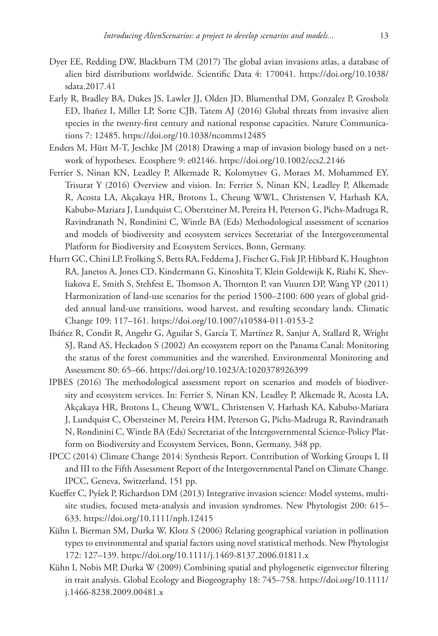- Dyer EE, Redding DW, Blackburn TM (2017) The global avian invasions atlas, a database of alien bird distributions worldwide. Scientific Data 4: 170041. [https://doi.org/10.1038/](https://doi.org/10.1038/sdata.2017.41) [sdata.2017.41](https://doi.org/10.1038/sdata.2017.41)
- Early R, Bradley BA, Dukes JS, Lawler JJ, Olden JD, Blumenthal DM, Gonzalez P, Grosholz ED, Ibañez I, Miller LP, Sorte CJB, Tatem AJ (2016) Global threats from invasive alien species in the twenty-first century and national response capacities. Nature Communications 7: 12485. <https://doi.org/10.1038/ncomms12485>
- Enders M, Hütt M-T, Jeschke JM (2018) Drawing a map of invasion biology based on a network of hypotheses. Ecosphere 9: e02146.<https://doi.org/10.1002/ecs2.2146>
- Ferrier S, Ninan KN, Leadley P, Alkemade R, Kolomytsev G, Moraes M, Mohammed EY, Trisurat Y (2016) Overview and vision. In: Ferrier S, Ninan KN, Leadley P, Alkemade R, Acosta LA, Akçakaya HR, Brotons L, Cheung WWL, Christensen V, Harhash KA, Kabubo-Mariara J, Lundquist C, Obersteiner M, Pereira H, Peterson G, Pichs-Madruga R, Ravindranath N, Rondinini C, Wintle BA (Eds) Methodological assessment of scenarios and models of biodiversity and ecosystem services Secretariat of the Intergovernmental Platform for Biodiversity and Ecosystem Services, Bonn, Germany.
- Hurtt GC, Chini LP, Frolking S, Betts RA, Feddema J, Fischer G, Fisk JP, Hibbard K, Houghton RA, Janetos A, Jones CD, Kindermann G, Kinoshita T, Klein Goldewijk K, Riahi K, Shevliakova E, Smith S, Stehfest E, Thomson A, Thornton P, van Vuuren DP, Wang YP (2011) Harmonization of land-use scenarios for the period 1500–2100: 600 years of global gridded annual land-use transitions, wood harvest, and resulting secondary lands. Climatic Change 109: 117–161. <https://doi.org/10.1007/s10584-011-0153-2>
- Ibáñez R, Condit R, Angehr G, Aguilar S, García T, Martínez R, Sanjur A, Stallard R, Wright SJ, Rand AS, Heckadon S (2002) An ecosystem report on the Panama Canal: Monitoring the status of the forest communities and the watershed. Environmental Monitoring and Assessment 80: 65–66.<https://doi.org/10.1023/A:1020378926399>
- IPBES (2016) The methodological assessment report on scenarios and models of biodiversity and ecosystem services. In: Ferrier S, Ninan KN, Leadley P, Alkemade R, Acosta LA, Akçakaya HR, Brotons L, Cheung WWL, Christensen V, Harhash KA, Kabubo-Mariara J, Lundquist C, Obersteiner M, Pereira HM, Peterson G, Pichs-Madruga R, Ravindranath N, Rondinini C, Wintle BA (Eds) Secretariat of the Intergovernmental Science-Policy Platform on Biodiversity and Ecosystem Services, Bonn, Germany, 348 pp.
- IPCC (2014) Climate Change 2014: Synthesis Report. Contribution of Working Groups I, II and III to the Fifth Assessment Report of the Intergovernmental Panel on Climate Change. IPCC, Geneva, Switzerland, 151 pp.
- Kueffer C, Pyšek P, Richardson DM (2013) Integrative invasion science: Model systems, multisite studies, focused meta-analysis and invasion syndromes. New Phytologist 200: 615– 633.<https://doi.org/10.1111/nph.12415>
- Kühn I, Bierman SM, Durka W, Klotz S (2006) Relating geographical variation in pollination types to environmental and spatial factors using novel statistical methods. New Phytologist 172: 127–139.<https://doi.org/10.1111/j.1469-8137.2006.01811.x>
- Kühn I, Nobis MP, Durka W (2009) Combining spatial and phylogenetic eigenvector filtering in trait analysis. Global Ecology and Biogeography 18: 745–758. [https://doi.org/10.1111/](https://doi.org/10.1111/j.1466-8238.2009.00481.x) [j.1466-8238.2009.00481.x](https://doi.org/10.1111/j.1466-8238.2009.00481.x)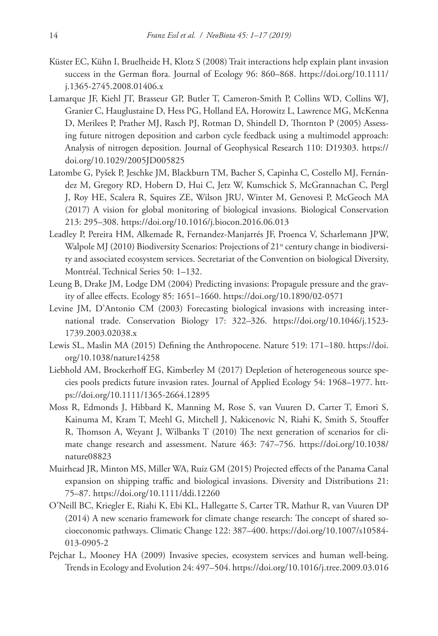- Küster EC, Kühn I, Bruelheide H, Klotz S (2008) Trait interactions help explain plant invasion success in the German flora. Journal of Ecology 96: 860–868. [https://doi.org/10.1111/](https://doi.org/10.1111/j.1365-2745.2008.01406.x) [j.1365-2745.2008.01406.x](https://doi.org/10.1111/j.1365-2745.2008.01406.x)
- Lamarque JF, Kiehl JT, Brasseur GP, Butler T, Cameron-Smith P, Collins WD, Collins WJ, Granier C, Hauglustaine D, Hess PG, Holland EA, Horowitz L, Lawrence MG, McKenna D, Merilees P, Prather MJ, Rasch PJ, Rotman D, Shindell D, Thornton P (2005) Assessing future nitrogen deposition and carbon cycle feedback using a multimodel approach: Analysis of nitrogen deposition. Journal of Geophysical Research 110: D19303. [https://](https://doi.org/10.1029/2005JD005825) [doi.org/10.1029/2005JD005825](https://doi.org/10.1029/2005JD005825)
- Latombe G, Pyšek P, Jeschke JM, Blackburn TM, Bacher S, Capinha C, Costello MJ, Fernández M, Gregory RD, Hobern D, Hui C, Jetz W, Kumschick S, McGrannachan C, Pergl J, Roy HE, Scalera R, Squires ZE, Wilson JRU, Winter M, Genovesi P, McGeoch MA (2017) A vision for global monitoring of biological invasions. Biological Conservation 213: 295–308.<https://doi.org/10.1016/j.biocon.2016.06.013>
- Leadley P, Pereira HM, Alkemade R, Fernandez-Manjarrés JF, Proenca V, Scharlemann JPW, Walpole MJ (2010) Biodiversity Scenarios: Projections of  $21<sup>st</sup>$  century change in biodiversity and associated ecosystem services. Secretariat of the Convention on biological Diversity, Montréal. Technical Series 50: 1–132.
- Leung B, Drake JM, Lodge DM (2004) Predicting invasions: Propagule pressure and the gravity of allee effects. Ecology 85: 1651–1660. <https://doi.org/10.1890/02-0571>
- Levine JM, D'Antonio CM (2003) Forecasting biological invasions with increasing international trade. Conservation Biology 17: 322–326. [https://doi.org/10.1046/j.1523-](https://doi.org/10.1046/j.1523-1739.2003.02038.x) [1739.2003.02038.x](https://doi.org/10.1046/j.1523-1739.2003.02038.x)
- Lewis SL, Maslin MA (2015) Defining the Anthropocene. Nature 519: 171–180. [https://doi.](https://doi.org/10.1038/nature14258) [org/10.1038/nature14258](https://doi.org/10.1038/nature14258)
- Liebhold AM, Brockerhoff EG, Kimberley M (2017) Depletion of heterogeneous source species pools predicts future invasion rates. Journal of Applied Ecology 54: 1968–1977. [htt](https://doi.org/10.1111/1365-2664.12895)[ps://doi.org/10.1111/1365-2664.12895](https://doi.org/10.1111/1365-2664.12895)
- Moss R, Edmonds J, Hibbard K, Manning M, Rose S, van Vuuren D, Carter T, Emori S, Kainuma M, Kram T, Meehl G, Mitchell J, Nakicenovic N, Riahi K, Smith S, Stouffer R, Thomson A, Weyant J, Wilbanks T (2010) The next generation of scenarios for climate change research and assessment. Nature 463: 747–756. [https://doi.org/10.1038/](https://doi.org/10.1038/nature08823) [nature08823](https://doi.org/10.1038/nature08823)
- Muirhead JR, Minton MS, Miller WA, Ruiz GM (2015) Projected effects of the Panama Canal expansion on shipping traffic and biological invasions. Diversity and Distributions 21: 75–87.<https://doi.org/10.1111/ddi.12260>
- O'Neill BC, Kriegler E, Riahi K, Ebi KL, Hallegatte S, Carter TR, Mathur R, van Vuuren DP (2014) A new scenario framework for climate change research: The concept of shared socioeconomic pathways. Climatic Change 122: 387–400. [https://doi.org/10.1007/s10584-](https://doi.org/10.1007/s10584-013-0905-2) [013-0905-2](https://doi.org/10.1007/s10584-013-0905-2)
- Pejchar L, Mooney HA (2009) Invasive species, ecosystem services and human well-being. Trends in Ecology and Evolution 24: 497–504.<https://doi.org/10.1016/j.tree.2009.03.016>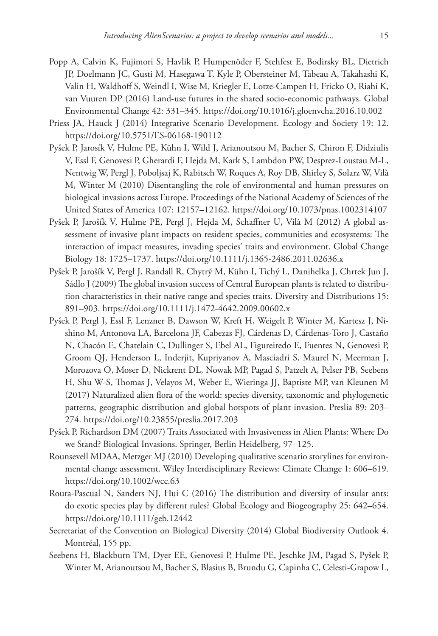- Popp A, Calvin K, Fujimori S, Havlik P, Humpenöder F, Stehfest E, Bodirsky BL, Dietrich JP, Doelmann JC, Gusti M, Hasegawa T, Kyle P, Obersteiner M, Tabeau A, Takahashi K, Valin H, Waldhoff S, Weindl I, Wise M, Kriegler E, Lotze-Campen H, Fricko O, Riahi K, van Vuuren DP (2016) Land-use futures in the shared socio-economic pathways. Global Environmental Change 42: 331–345.<https://doi.org/10.1016/j.gloenvcha.2016.10.002>
- Priess JA, Hauck J (2014) Integrative Scenario Development. Ecology and Society 19: 12. <https://doi.org/10.5751/ES-06168-190112>
- Pyšek P, Jarosík V, Hulme PE, Kühn I, Wild J, Arianoutsou M, Bacher S, Chiron F, Didziulis V, Essl F, Genovesi P, Gherardi F, Hejda M, Kark S, Lambdon PW, Desprez-Loustau M-L, Nentwig W, Pergl J, Poboljsaj K, Rabitsch W, Roques A, Roy DB, Shirley S, Solarz W, Vilà M, Winter M (2010) Disentangling the role of environmental and human pressures on biological invasions across Europe. Proceedings of the National Academy of Sciences of the United States of America 107: 12157–12162.<https://doi.org/10.1073/pnas.1002314107>
- Pyšek P, Jarošík V, Hulme PE, Pergl J, Hejda M, Schaffner U, Vilà M (2012) A global assessment of invasive plant impacts on resident species, communities and ecosystems: The interaction of impact measures, invading species' traits and environment. Global Change Biology 18: 1725–1737.<https://doi.org/10.1111/j.1365-2486.2011.02636.x>
- Pyšek P, Jarošík V, Pergl J, Randall R, Chytrý M, Kühn I, Tichý L, Danihelka J, Chrtek Jun J, Sádlo J (2009) The global invasion success of Central European plants is related to distribution characteristics in their native range and species traits. Diversity and Distributions 15: 891–903.<https://doi.org/10.1111/j.1472-4642.2009.00602.x>
- Pyšek P, Pergl J, Essl F, Lenzner B, Dawson W, Kreft H, Weigelt P, Winter M, Kartesz J, Nishino M, Antonova LA, Barcelona JF, Cabezas FJ, Cárdenas D, Cárdenas-Toro J, Castaño N, Chacón E, Chatelain C, Dullinger S, Ebel AL, Figureiredo E, Fuentes N, Genovesi P, Groom QJ, Henderson L, Inderjit, Kupriyanov A, Masciadri S, Maurel N, Meerman J, Morozova O, Moser D, Nickrent DL, Nowak MP, Pagad S, Patzelt A, Pelser PB, Seebens H, Shu W-S, Thomas J, Velayos M, Weber E, Wieringa JJ, Baptiste MP, van Kleunen M (2017) Naturalized alien flora of the world: species diversity, taxonomic and phylogenetic patterns, geographic distribution and global hotspots of plant invasion. Preslia 89: 203– 274.<https://doi.org/10.23855/preslia.2017.203>
- Pyšek P, Richardson DM (2007) Traits Associated with Invasiveness in Alien Plants: Where Do we Stand? Biological Invasions. Springer, Berlin Heidelberg, 97–125.
- Rounsevell MDAA, Metzger MJ (2010) Developing qualitative scenario storylines for environmental change assessment. Wiley Interdisciplinary Reviews: Climate Change 1: 606–619. <https://doi.org/10.1002/wcc.63>
- Roura-Pascual N, Sanders NJ, Hui C (2016) The distribution and diversity of insular ants: do exotic species play by different rules? Global Ecology and Biogeography 25: 642–654. <https://doi.org/10.1111/geb.12442>
- Secretariat of the Convention on Biological Diversity (2014) Global Biodiversity Outlook 4. Montréal, 155 pp.
- Seebens H, Blackburn TM, Dyer EE, Genovesi P, Hulme PE, Jeschke JM, Pagad S, Pyšek P, Winter M, Arianoutsou M, Bacher S, Blasius B, Brundu G, Capinha C, Celesti-Grapow L,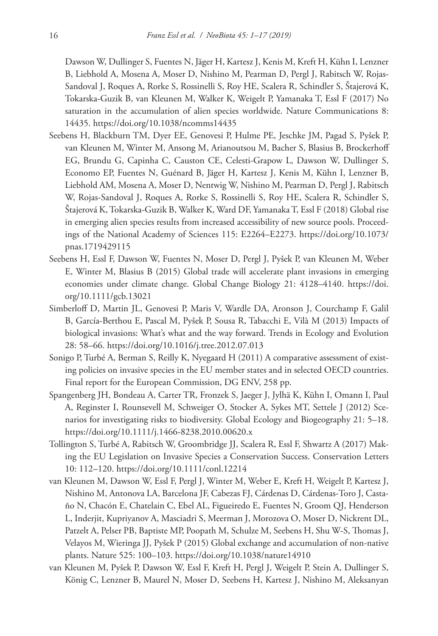Dawson W, Dullinger S, Fuentes N, Jäger H, Kartesz J, Kenis M, Kreft H, Kühn I, Lenzner B, Liebhold A, Mosena A, Moser D, Nishino M, Pearman D, Pergl J, Rabitsch W, Rojas-Sandoval J, Roques A, Rorke S, Rossinelli S, Roy HE, Scalera R, Schindler S, Štajerová K, Tokarska-Guzik B, van Kleunen M, Walker K, Weigelt P, Yamanaka T, Essl F (2017) No saturation in the accumulation of alien species worldwide. Nature Communications 8: 14435.<https://doi.org/10.1038/ncomms14435>

- Seebens H, Blackburn TM, Dyer EE, Genovesi P, Hulme PE, Jeschke JM, Pagad S, Pyšek P, van Kleunen M, Winter M, Ansong M, Arianoutsou M, Bacher S, Blasius B, Brockerhoff EG, Brundu G, Capinha C, Causton CE, Celesti-Grapow L, Dawson W, Dullinger S, Economo EP, Fuentes N, Guénard B, Jäger H, Kartesz J, Kenis M, Kühn I, Lenzner B, Liebhold AM, Mosena A, Moser D, Nentwig W, Nishino M, Pearman D, Pergl J, Rabitsch W, Rojas-Sandoval J, Roques A, Rorke S, Rossinelli S, Roy HE, Scalera R, Schindler S, Štajerová K, Tokarska-Guzik B, Walker K, Ward DF, Yamanaka T, Essl F (2018) Global rise in emerging alien species results from increased accessibility of new source pools. Proceedings of the National Academy of Sciences 115: E2264–E2273. [https://doi.org/10.1073/](https://doi.org/10.1073/pnas.1719429115) [pnas.1719429115](https://doi.org/10.1073/pnas.1719429115)
- Seebens H, Essl F, Dawson W, Fuentes N, Moser D, Pergl J, Pyšek P, van Kleunen M, Weber E, Winter M, Blasius B (2015) Global trade will accelerate plant invasions in emerging economies under climate change. Global Change Biology 21: 4128–4140. [https://doi.](https://doi.org/10.1111/gcb.13021) [org/10.1111/gcb.13021](https://doi.org/10.1111/gcb.13021)
- Simberloff D, Martin JL, Genovesi P, Maris V, Wardle DA, Aronson J, Courchamp F, Galil B, García-Berthou E, Pascal M, Pyšek P, Sousa R, Tabacchi E, Vilà M (2013) Impacts of biological invasions: What's what and the way forward. Trends in Ecology and Evolution 28: 58–66.<https://doi.org/10.1016/j.tree.2012.07.013>
- Sonigo P, Turbé A, Berman S, Reilly K, Nyegaard H (2011) A comparative assessment of existing policies on invasive species in the EU member states and in selected OECD countries. Final report for the European Commission, DG ENV, 258 pp.
- Spangenberg JH, Bondeau A, Carter TR, Fronzek S, Jaeger J, Jylhä K, Kühn I, Omann I, Paul A, Reginster I, Rounsevell M, Schweiger O, Stocker A, Sykes MT, Settele J (2012) Scenarios for investigating risks to biodiversity. Global Ecology and Biogeography 21: 5–18. <https://doi.org/10.1111/j.1466-8238.2010.00620.x>
- Tollington S, Turbé A, Rabitsch W, Groombridge JJ, Scalera R, Essl F, Shwartz A (2017) Making the EU Legislation on Invasive Species a Conservation Success. Conservation Letters 10: 112–120.<https://doi.org/10.1111/conl.12214>
- van Kleunen M, Dawson W, Essl F, Pergl J, Winter M, Weber E, Kreft H, Weigelt P, Kartesz J, Nishino M, Antonova LA, Barcelona JF, Cabezas FJ, Cárdenas D, Cárdenas-Toro J, Castaño N, Chacón E, Chatelain C, Ebel AL, Figueiredo E, Fuentes N, Groom QJ, Henderson L, Inderjit, Kupriyanov A, Masciadri S, Meerman J, Morozova O, Moser D, Nickrent DL, Patzelt A, Pelser PB, Baptiste MP, Poopath M, Schulze M, Seebens H, Shu W-S, Thomas J, Velayos M, Wieringa JJ, Pyšek P (2015) Global exchange and accumulation of non-native plants. Nature 525: 100–103.<https://doi.org/10.1038/nature14910>
- van Kleunen M, Pyšek P, Dawson W, Essl F, Kreft H, Pergl J, Weigelt P, Stein A, Dullinger S, König C, Lenzner B, Maurel N, Moser D, Seebens H, Kartesz J, Nishino M, Aleksanyan